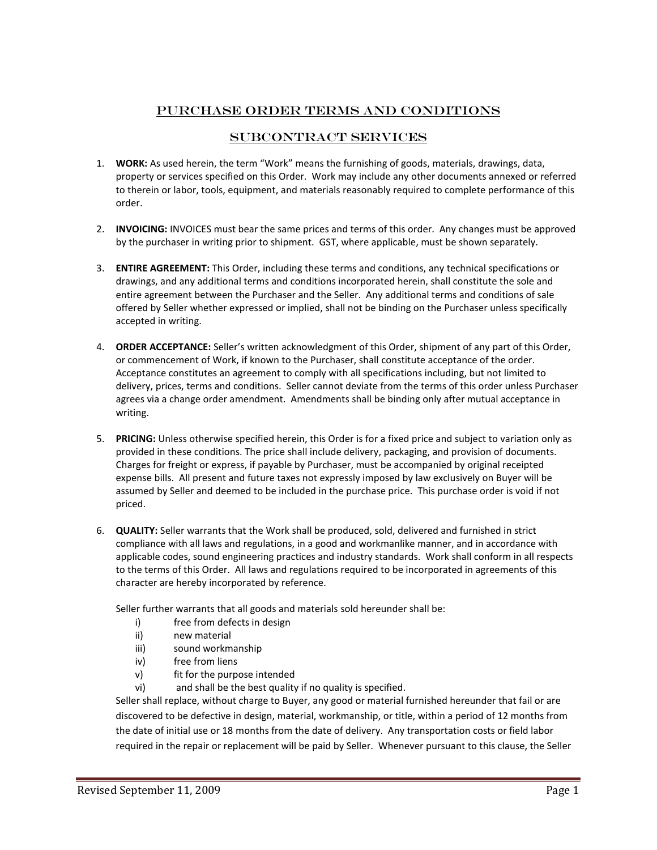## Purchase Order Terms and Conditions

## Subcontract Services

- 1. **WORK:** As used herein, the term "Work" means the furnishing of goods, materials, drawings, data, property or services specified on this Order. Work may include any other documents annexed or referred to therein or labor, tools, equipment, and materials reasonably required to complete performance of this order.
- 2. **INVOICING:** INVOICES must bear the same prices and terms of this order. Any changes must be approved by the purchaser in writing prior to shipment. GST, where applicable, must be shown separately.
- 3. **ENTIRE AGREEMENT:** This Order, including these terms and conditions, any technical specifications or drawings, and any additional terms and conditions incorporated herein, shall constitute the sole and entire agreement between the Purchaser and the Seller. Any additional terms and conditions of sale offered by Seller whether expressed or implied, shall not be binding on the Purchaser unless specifically accepted in writing.
- 4. **ORDER ACCEPTANCE:** Seller's written acknowledgment of this Order, shipment of any part of this Order, or commencement of Work, if known to the Purchaser, shall constitute acceptance of the order. Acceptance constitutes an agreement to comply with all specifications including, but not limited to delivery, prices, terms and conditions. Seller cannot deviate from the terms of this order unless Purchaser agrees via a change order amendment. Amendments shall be binding only after mutual acceptance in writing.
- 5. **PRICING:** Unless otherwise specified herein, this Order is for a fixed price and subject to variation only as provided in these conditions. The price shall include delivery, packaging, and provision of documents. Charges for freight or express, if payable by Purchaser, must be accompanied by original receipted expense bills. All present and future taxes not expressly imposed by law exclusively on Buyer will be assumed by Seller and deemed to be included in the purchase price. This purchase order is void if not priced.
- 6. **QUALITY:** Seller warrants that the Work shall be produced, sold, delivered and furnished in strict compliance with all laws and regulations, in a good and workmanlike manner, and in accordance with applicable codes, sound engineering practices and industry standards. Work shall conform in all respects to the terms of this Order. All laws and regulations required to be incorporated in agreements of this character are hereby incorporated by reference.

Seller further warrants that all goods and materials sold hereunder shall be:

- i) free from defects in design
- ii) new material
- iii) sound workmanship
- iv) free from liens
- v) fit for the purpose intended
- vi) and shall be the best quality if no quality is specified.

Seller shall replace, without charge to Buyer, any good or material furnished hereunder that fail or are discovered to be defective in design, material, workmanship, or title, within a period of 12 months from the date of initial use or 18 months from the date of delivery. Any transportation costs or field labor required in the repair or replacement will be paid by Seller. Whenever pursuant to this clause, the Seller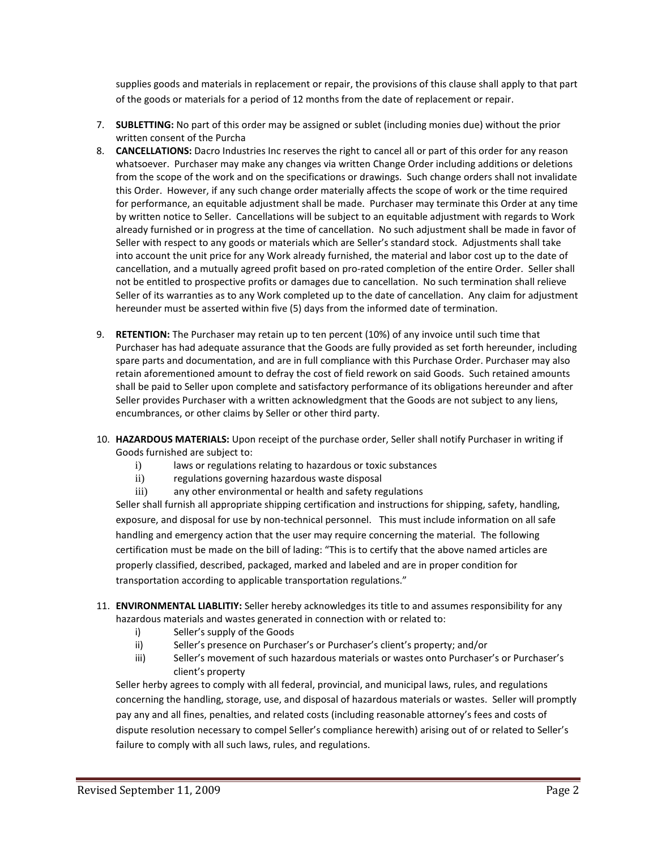supplies goods and materials in replacement or repair, the provisions of this clause shall apply to that part of the goods or materials for a period of 12 months from the date of replacement or repair.

- 7. **SUBLETTING:** No part of this order may be assigned or sublet (including monies due) without the prior written consent of the Purcha
- 8. **CANCELLATIONS:** Dacro Industries Inc reserves the right to cancel all or part of this order for any reason whatsoever. Purchaser may make any changes via written Change Order including additions or deletions from the scope of the work and on the specifications or drawings. Such change orders shall not invalidate this Order. However, if any such change order materially affects the scope of work or the time required for performance, an equitable adjustment shall be made. Purchaser may terminate this Order at any time by written notice to Seller. Cancellations will be subject to an equitable adjustment with regards to Work already furnished or in progress at the time of cancellation. No such adjustment shall be made in favor of Seller with respect to any goods or materials which are Seller's standard stock. Adjustments shall take into account the unit price for any Work already furnished, the material and labor cost up to the date of cancellation, and a mutually agreed profit based on pro-rated completion of the entire Order. Seller shall not be entitled to prospective profits or damages due to cancellation. No such termination shall relieve Seller of its warranties as to any Work completed up to the date of cancellation. Any claim for adjustment hereunder must be asserted within five (5) days from the informed date of termination.
- 9. **RETENTION:** The Purchaser may retain up to ten percent (10%) of any invoice until such time that Purchaser has had adequate assurance that the Goods are fully provided as set forth hereunder, including spare parts and documentation, and are in full compliance with this Purchase Order. Purchaser may also retain aforementioned amount to defray the cost of field rework on said Goods. Such retained amounts shall be paid to Seller upon complete and satisfactory performance of its obligations hereunder and after Seller provides Purchaser with a written acknowledgment that the Goods are not subject to any liens, encumbrances, or other claims by Seller or other third party.
- 10. **HAZARDOUS MATERIALS:** Upon receipt of the purchase order, Seller shall notify Purchaser in writing if Goods furnished are subject to:
	- i) laws or regulations relating to hazardous or toxic substances
	- ii) regulations governing hazardous waste disposal
	- iii) any other environmental or health and safety regulations

Seller shall furnish all appropriate shipping certification and instructions for shipping, safety, handling, exposure, and disposal for use by non-technical personnel. This must include information on all safe handling and emergency action that the user may require concerning the material. The following certification must be made on the bill of lading: "This is to certify that the above named articles are properly classified, described, packaged, marked and labeled and are in proper condition for transportation according to applicable transportation regulations."

- 11. **ENVIRONMENTAL LIABLITIY:** Seller hereby acknowledges its title to and assumes responsibility for any hazardous materials and wastes generated in connection with or related to:
	- i) Seller's supply of the Goods
	- ii) Seller's presence on Purchaser's or Purchaser's client's property; and/or
	- iii) Seller's movement of such hazardous materials or wastes onto Purchaser's or Purchaser's client's property

Seller herby agrees to comply with all federal, provincial, and municipal laws, rules, and regulations concerning the handling, storage, use, and disposal of hazardous materials or wastes. Seller will promptly pay any and all fines, penalties, and related costs (including reasonable attorney's fees and costs of dispute resolution necessary to compel Seller's compliance herewith) arising out of or related to Seller's failure to comply with all such laws, rules, and regulations.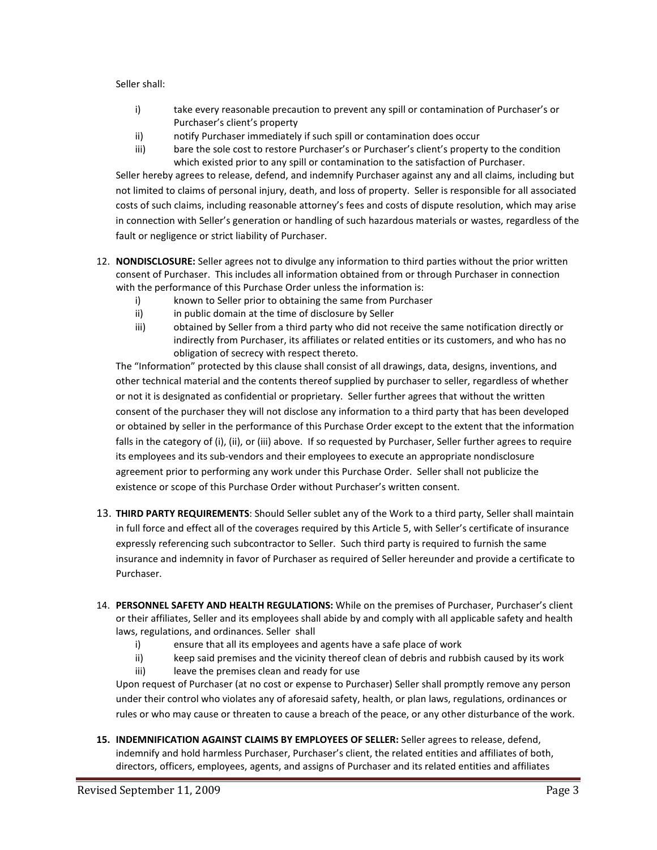## Seller shall:

- i) take every reasonable precaution to prevent any spill or contamination of Purchaser's or Purchaser's client's property
- ii) notify Purchaser immediately if such spill or contamination does occur
- iii) bare the sole cost to restore Purchaser's or Purchaser's client's property to the condition which existed prior to any spill or contamination to the satisfaction of Purchaser.

Seller hereby agrees to release, defend, and indemnify Purchaser against any and all claims, including but not limited to claims of personal injury, death, and loss of property. Seller is responsible for all associated costs of such claims, including reasonable attorney's fees and costs of dispute resolution, which may arise in connection with Seller's generation or handling of such hazardous materials or wastes, regardless of the fault or negligence or strict liability of Purchaser.

- 12. **NONDISCLOSURE:** Seller agrees not to divulge any information to third parties without the prior written consent of Purchaser. This includes all information obtained from or through Purchaser in connection with the performance of this Purchase Order unless the information is:
	- i) known to Seller prior to obtaining the same from Purchaser
	- ii) in public domain at the time of disclosure by Seller
	- iii) obtained by Seller from a third party who did not receive the same notification directly or indirectly from Purchaser, its affiliates or related entities or its customers, and who has no obligation of secrecy with respect thereto.

The "Information" protected by this clause shall consist of all drawings, data, designs, inventions, and other technical material and the contents thereof supplied by purchaser to seller, regardless of whether or not it is designated as confidential or proprietary. Seller further agrees that without the written consent of the purchaser they will not disclose any information to a third party that has been developed or obtained by seller in the performance of this Purchase Order except to the extent that the information falls in the category of (i), (ii), or (iii) above. If so requested by Purchaser, Seller further agrees to require its employees and its sub-vendors and their employees to execute an appropriate nondisclosure agreement prior to performing any work under this Purchase Order. Seller shall not publicize the existence or scope of this Purchase Order without Purchaser's written consent.

- 13. **THIRD PARTY REQUIREMENTS**: Should Seller sublet any of the Work to a third party, Seller shall maintain in full force and effect all of the coverages required by this Article 5, with Seller's certificate of insurance expressly referencing such subcontractor to Seller. Such third party is required to furnish the same insurance and indemnity in favor of Purchaser as required of Seller hereunder and provide a certificate to Purchaser.
- 14. **PERSONNEL SAFETY AND HEALTH REGULATIONS:** While on the premises of Purchaser, Purchaser's client or their affiliates, Seller and its employees shall abide by and comply with all applicable safety and health laws, regulations, and ordinances. Seller shall
	- i) ensure that all its employees and agents have a safe place of work
	- ii) keep said premises and the vicinity thereof clean of debris and rubbish caused by its work
	- iii) leave the premises clean and ready for use

Upon request of Purchaser (at no cost or expense to Purchaser) Seller shall promptly remove any person under their control who violates any of aforesaid safety, health, or plan laws, regulations, ordinances or rules or who may cause or threaten to cause a breach of the peace, or any other disturbance of the work.

**15. INDEMNIFICATION AGAINST CLAIMS BY EMPLOYEES OF SELLER:** Seller agrees to release, defend, indemnify and hold harmless Purchaser, Purchaser's client, the related entities and affiliates of both, directors, officers, employees, agents, and assigns of Purchaser and its related entities and affiliates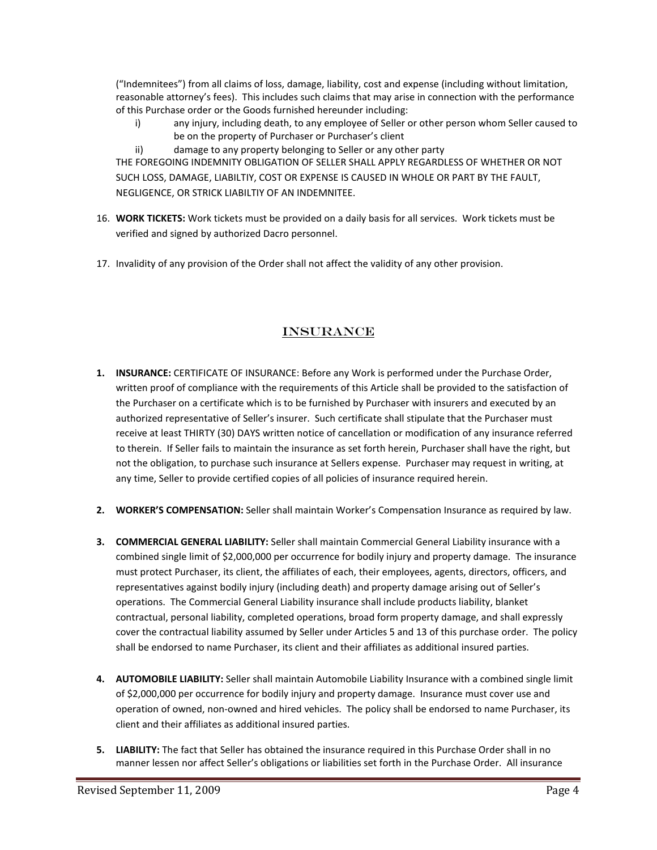("Indemnitees") from all claims of loss, damage, liability, cost and expense (including without limitation, reasonable attorney's fees). This includes such claims that may arise in connection with the performance of this Purchase order or the Goods furnished hereunder including:

- i) any injury, including death, to any employee of Seller or other person whom Seller caused to be on the property of Purchaser or Purchaser's client
- ii) damage to any property belonging to Seller or any other party

THE FOREGOING INDEMNITY OBLIGATION OF SELLER SHALL APPLY REGARDLESS OF WHETHER OR NOT SUCH LOSS, DAMAGE, LIABILTIY, COST OR EXPENSE IS CAUSED IN WHOLE OR PART BY THE FAULT, NEGLIGENCE, OR STRICK LIABILTIY OF AN INDEMNITEE.

- 16. **WORK TICKETS:** Work tickets must be provided on a daily basis for all services. Work tickets must be verified and signed by authorized Dacro personnel.
- 17. Invalidity of any provision of the Order shall not affect the validity of any other provision.

## **INSURANCE**

- **1. INSURANCE:** CERTIFICATE OF INSURANCE: Before any Work is performed under the Purchase Order, written proof of compliance with the requirements of this Article shall be provided to the satisfaction of the Purchaser on a certificate which is to be furnished by Purchaser with insurers and executed by an authorized representative of Seller's insurer. Such certificate shall stipulate that the Purchaser must receive at least THIRTY (30) DAYS written notice of cancellation or modification of any insurance referred to therein. If Seller fails to maintain the insurance as set forth herein, Purchaser shall have the right, but not the obligation, to purchase such insurance at Sellers expense. Purchaser may request in writing, at any time, Seller to provide certified copies of all policies of insurance required herein.
- **2. WORKER'S COMPENSATION:** Seller shall maintain Worker's Compensation Insurance as required by law.
- **3. COMMERCIAL GENERAL LIABILITY:** Seller shall maintain Commercial General Liability insurance with a combined single limit of \$2,000,000 per occurrence for bodily injury and property damage. The insurance must protect Purchaser, its client, the affiliates of each, their employees, agents, directors, officers, and representatives against bodily injury (including death) and property damage arising out of Seller's operations. The Commercial General Liability insurance shall include products liability, blanket contractual, personal liability, completed operations, broad form property damage, and shall expressly cover the contractual liability assumed by Seller under Articles 5 and 13 of this purchase order. The policy shall be endorsed to name Purchaser, its client and their affiliates as additional insured parties.
- **4. AUTOMOBILE LIABILITY:** Seller shall maintain Automobile Liability Insurance with a combined single limit of \$2,000,000 per occurrence for bodily injury and property damage. Insurance must cover use and operation of owned, non-owned and hired vehicles. The policy shall be endorsed to name Purchaser, its client and their affiliates as additional insured parties.
- **5. LIABILITY:** The fact that Seller has obtained the insurance required in this Purchase Order shall in no manner lessen nor affect Seller's obligations or liabilities set forth in the Purchase Order. All insurance